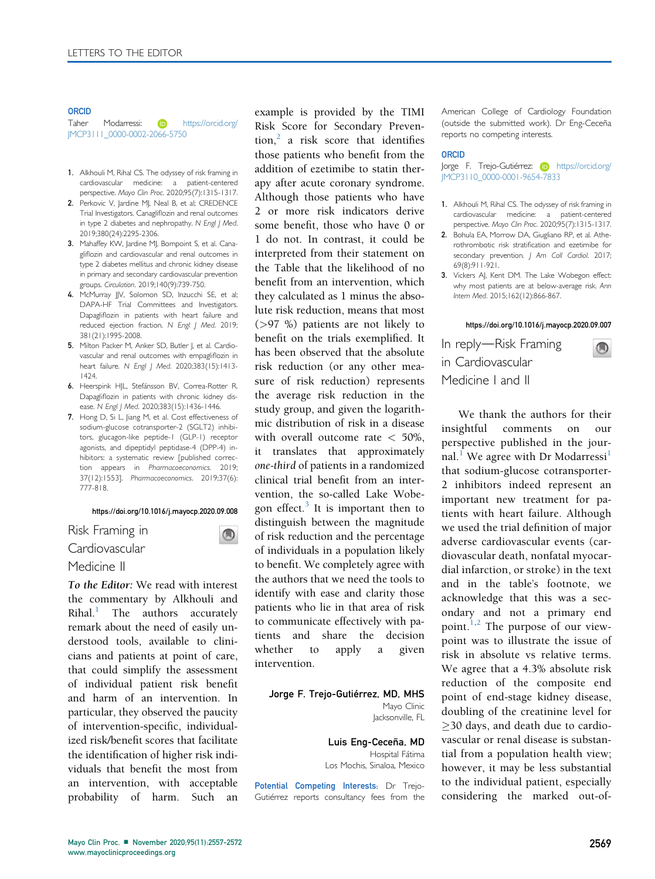### **ORCID**

Taher Modarressi: **D** [https://orcid.org/](https://orcid.org/JMCP3111_0000-0002-2066-5750) [JMCP3111\\_0000-0002-2066-5750](https://orcid.org/JMCP3111_0000-0002-2066-5750)

- 1. Alkhouli M, Rihal CS. The odyssey of risk framing in cardiovascular medicine: a patient-centered perspective. Mayo Clin Proc. 2020;95(7):1315-1317.
- 2. Perkovic V, Jardine MJ, Neal B, et al; CREDENCE Trial Investigators. Canagliflozin and renal outcomes in type 2 diabetes and nephropathy. N Engl J Med. 2019;380(24):2295-2306.
- 3. Mahaffey KW, Jardine MJ, Bompoint S, et al. Canagliflozin and cardiovascular and renal outcomes in type 2 diabetes mellitus and chronic kidney disease in primary and secondary cardiovascular prevention groups. Circulation. 2019;140(9):739-750.
- 4. McMurray JJV, Solomon SD, Inzucchi SE, et al; DAPA-HF Trial Committees and Investigators. Dapagliflozin in patients with heart failure and reduced ejection fraction. N Engl J Med. 2019; 381(21):1995-2008.
- 5. Milton Packer M, Anker SD, Butler J, et al. Cardiovascular and renal outcomes with empagliflozin in heart failure. N Engl J Med. 2020;383(15):1413- 1424.
- 6. Heerspink HJL, Stefánsson BV, Correa-Rotter R. Dapagliflozin in patients with chronic kidney disease. N Engl J Med. 2020;383(15):1436-1446.
- 7. Hong D, Si L, Jiang M, et al. Cost effectiveness of sodium-glucose cotransporter-2 (SGLT2) inhibitors, glucagon-like peptide-1 (GLP-1) receptor agonists, and dipeptidyl peptidase-4 (DPP-4) inhibitors: a systematic review [published correction appears in Pharmacoeconomics. 2019; 37(12):1553]. Pharmacoeconomics. 2019;37(6): 777-818.

### <https://doi.org/10.1016/j.mayocp.2020.09.008>

 $\bigcirc$ 

## Risk Framing in

Cardiovascular

# Medicine II

To the Editor: We read with interest the commentary by Alkhouli and  $Rihal.$ <sup>[1](#page-0-0)</sup> The authors accurately remark about the need of easily understood tools, available to clinicians and patients at point of care, that could simplify the assessment of individual patient risk benefit and harm of an intervention. In particular, they observed the paucity of intervention-specific, individualized risk/benefit scores that facilitate the identification of higher risk individuals that benefit the most from an intervention, with acceptable probability of harm. Such an

example is provided by the TIMI Risk Score for Secondary Prevention, $2$  a risk score that identifies those patients who benefit from the addition of ezetimibe to statin therapy after acute coronary syndrome. Although those patients who have 2 or more risk indicators derive some benefit, those who have 0 or 1 do not. In contrast, it could be interpreted from their statement on the Table that the likelihood of no benefit from an intervention, which they calculated as 1 minus the absolute risk reduction, means that most (>97 %) patients are not likely to benefit on the trials exemplified. It has been observed that the absolute risk reduction (or any other measure of risk reduction) represents the average risk reduction in the study group, and given the logarithmic distribution of risk in a disease with overall outcome rate  $<$  50%, it translates that approximately one-third of patients in a randomized clinical trial benefit from an intervention, the so-called Lake Wobe-gon effect.<sup>[3](#page-0-2)</sup> It is important then to distinguish between the magnitude of risk reduction and the percentage of individuals in a population likely to benefit. We completely agree with the authors that we need the tools to identify with ease and clarity those patients who lie in that area of risk to communicate effectively with patients and share the decision whether to apply a given intervention.

### Jorge F. Trejo-Gutiérrez, MD, MHS Mayo Clinic Jacksonville, FL

Luis Eng-Ceceña, MD Hospital Fátima Los Mochis, Sinaloa, Mexico

Potential Competing Interests: Dr Trejo-Gutiérrez reports consultancy fees from the American College of Cardiology Foundation (outside the submitted work). Dr Eng-Ceceña reports no competing interests.

### ORCID

Jorge F. Trejo-Gutiérrez: (D [https://orcid.org/](https://orcid.org/JMCP3110_0000-0001-9654-7833) [JMCP3110\\_0000-0001-9654-7833](https://orcid.org/JMCP3110_0000-0001-9654-7833)

- <span id="page-0-0"></span>1. Alkhouli M, Rihal CS. The odyssey of risk framing in cardiovascular medicine: a patient-centered perspective. Mayo Clin Proc. 2020;95(7):1315-1317.
- <span id="page-0-1"></span>2. Bohula EA, Morrow DA, Giugliano RP, et al. Atherothrombotic risk stratification and ezetimibe for secondary prevention. J Am Coll Cardiol. 2017; 69(8):911-921.
- <span id="page-0-2"></span>3. Vickers AJ, Kent DM. The Lake Wobegon effect: why most patients are at below-average risk. Ann Intern Med. 2015;162(12):866-867.

### <https://doi.org/10.1016/j.mayocp.2020.09.007>

 $\bigcirc$ 

In reply-Risk Framing in Cardiovascular

Medicine I and II

We thank the authors for their insightful comments on our perspective published in the jour-nal.<sup>[1](#page-1-0)</sup> We agree with Dr Modarressi<sup>1</sup> that sodium-glucose cotransporter-2 inhibitors indeed represent an important new treatment for patients with heart failure. Although we used the trial definition of major adverse cardiovascular events (cardiovascular death, nonfatal myocardial infarction, or stroke) in the text and in the table's footnote, we acknowledge that this was a secondary and not a primary end point. $1,2$  The purpose of our viewpoint was to illustrate the issue of risk in absolute vs relative terms. We agree that a 4.3% absolute risk reduction of the composite end point of end-stage kidney disease, doubling of the creatinine level for 30 days, and death due to cardiovascular or renal disease is substantial from a population health view; however, it may be less substantial to the individual patient, especially considering the marked out-of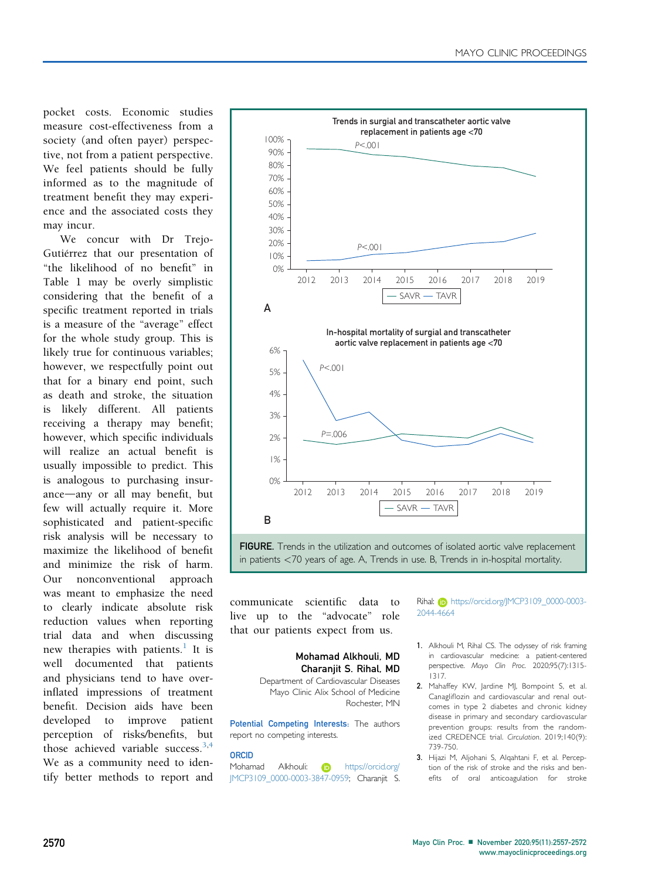<span id="page-1-0"></span>pocket costs. Economic studies measure cost-effectiveness from a society (and often payer) perspective, not from a patient perspective. We feel patients should be fully informed as to the magnitude of treatment benefit they may experience and the associated costs they may incur.

We concur with Dr Trejo-Gutiérrez that our presentation of "the likelihood of no benefit" in Table 1 may be overly simplistic considering that the benefit of a specific treatment reported in trials is a measure of the "average" effect for the whole study group. This is likely true for continuous variables; however, we respectfully point out that for a binary end point, such as death and stroke, the situation is likely different. All patients receiving a therapy may benefit; however, which specific individuals will realize an actual benefit is usually impossible to predict. This is analogous to purchasing insurance—any or all may benefit, but few will actually require it. More sophisticated and patient-specific risk analysis will be necessary to maximize the likelihood of benefit and minimize the risk of harm. Our nonconventional approach was meant to emphasize the need to clearly indicate absolute risk reduction values when reporting trial data and when discussing new therapies with patients.<sup>1</sup> It is well documented that patients and physicians tend to have overinflated impressions of treatment benefit. Decision aids have been developed to improve patient perception of risks/benefits, but those achieved variable success.<sup>3,[4](#page-2-0)</sup> We as a community need to identify better methods to report and



communicate scientific data to live up to the "advocate" role that our patients expect from us.

# Mohamad Alkhouli, MD Charaniit S. Rihal, MD

Department of Cardiovascular Diseases Mayo Clinic Alix School of Medicine Rochester, MN

Potential Competing Interests: The authors report no competing interests.

## ORCID

Mohamad Alkhouli: **D** [https://orcid.org/](https://orcid.org/JMCP3109_0000-0003-3847-0959) [JMCP3109\\_0000-0003-3847-0959; Charanjit S.](https://orcid.org/JMCP3109_0000-0003-3847-0959) [Rihal:](https://orcid.org/JMCP3109_0000-0003-3847-0959) (b) [https://orcid.org/JMCP3109\\_0000-0003-](https://orcid.org/JMCP3109_0000-0003-2044-4664) [2044-4664](https://orcid.org/JMCP3109_0000-0003-2044-4664)

- 1. Alkhouli M, Rihal CS. The odyssey of risk framing in cardiovascular medicine: a patient-centered perspective. Mayo Clin Proc. 2020;95(7):1315- 1317.
- 2. Mahaffey KW, Jardine MJ, Bompoint S, et al. Canagliflozin and cardiovascular and renal outcomes in type 2 diabetes and chronic kidney disease in primary and secondary cardiovascular prevention groups: results from the randomized CREDENCE trial. Circulation. 2019;140(9): 739-750.
- 3. Hijazi M, Aljohani S, Alqahtani F, et al. Perception of the risk of stroke and the risks and benefits of oral anticoagulation for stroke